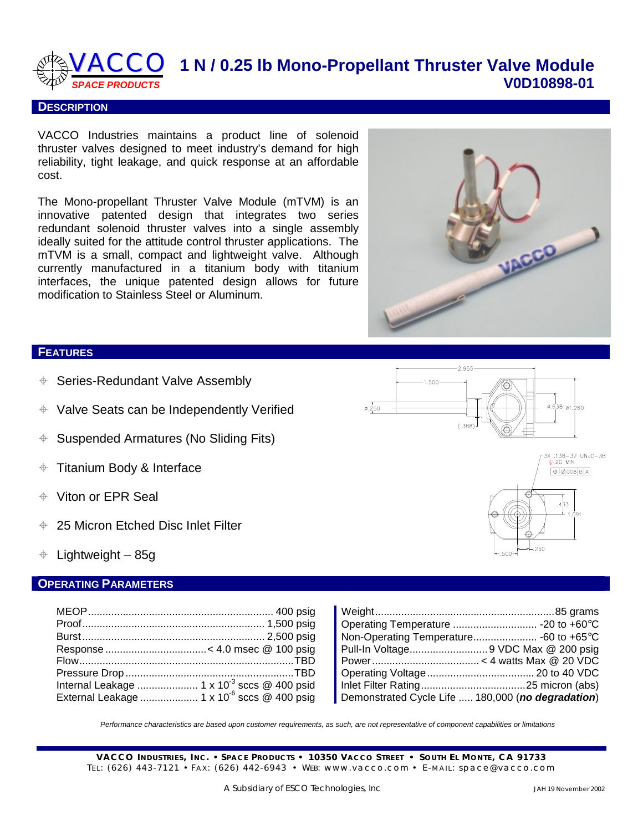

#### **DESCRIPTION**

VACCO Industries maintains a product line of solenoid thruster valves designed to meet industry's demand for high reliability, tight leakage, and quick response at an affordable cost.

The Mono-propellant Thruster Valve Module (mTVM) is an innovative patented design that integrates two series redundant solenoid thruster valves into a single assembly ideally suited for the attitude control thruster applications. The mTVM is a small, compact and lightweight valve. Although currently manufactured in a titanium body with titanium interfaces, the unique patented design allows for future modification to Stainless Steel or Aluminum.



#### **FEATURES**

- Series-Redundant Valve Assembly
- $\div$  Valve Seats can be Independently Verified
- $\div$  Suspended Armatures (No Sliding Fits)
- $\div$  Titanium Body & Interface
- Viton or EPR Seal
- 25 Micron Etched Disc Inlet Filter
- $\div$  Lightweight 85g

### **OPERATING PARAMETERS**

| Internal Leakage  1 x 10 <sup>-3</sup> sccs @ 400 psid   |                                                   |
|----------------------------------------------------------|---------------------------------------------------|
| External Leakage  1 x 10 <sup>-6</sup> sccs $@$ 400 psig | Demonstrated Cycle Life  180,000 (no degradation) |

*Performance characteristics are based upon customer requirements, as such, are not representative of component capabilities or limitations*

**VACCO I NDUSTRIES , I N C.** • **S PACE P RODUCTS** • **10350 VACCO STREET** • **S OUTH EL MONTE , CA 91733**  TEL: (626) 443-7121 • FAX: (626) 442-6943 • WEB: www.vacco.com • E-MAIL: space@vacco.com



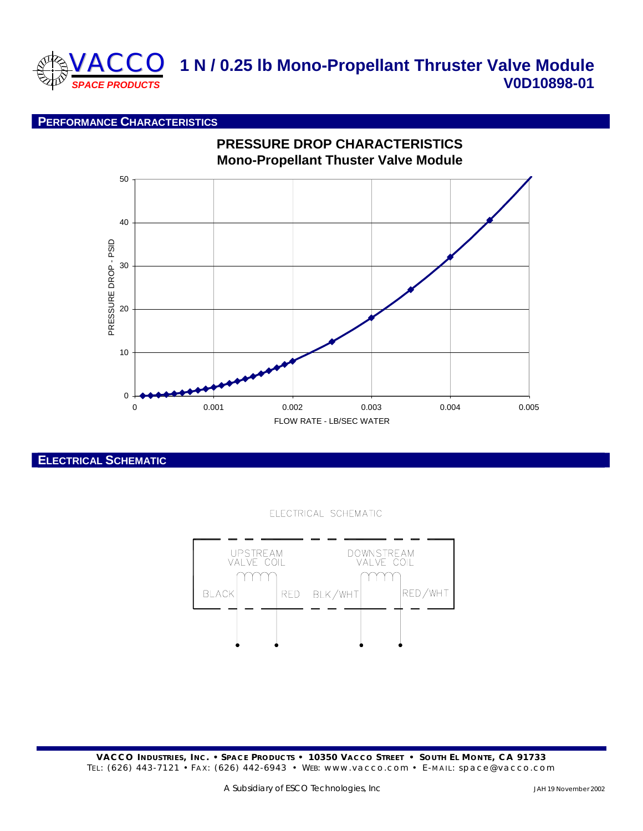

# **VACCO** 1 N / 0.25 lb Mono-Propellant Thruster Valve Module **V0D10898-01**

### **PERFORMANCE CHARACTERISTICS**



**ELECTRICAL SCHEMATIC**

#### ELECTRICAL SCHEMATIC



**VACCO I NDUSTRIES , I N C.** • **S PACE P RODUCTS** • **10350 VACCO STREET** • **S OUTH EL MONTE , CA 91733**  TEL: (626) 443-7121 • FAX: (626) 442-6943 • WEB: www.vacco.com • E-MAIL: space@vacco.com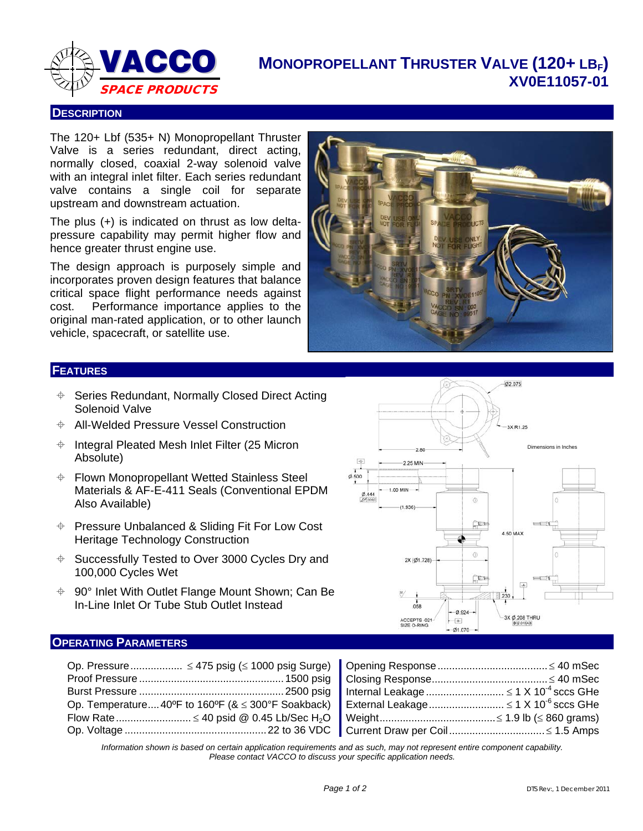

## **MONOPROPELLANT THRUSTER VALVE (120+ LBF) XV0E11057-01**

#### **DESCRIPTION**

The 120+ Lbf (535+ N) Monopropellant Thruster Valve is a series redundant, direct acting, normally closed, coaxial 2-way solenoid valve with an integral inlet filter. Each series redundant valve contains a single coil for separate upstream and downstream actuation.

The plus (+) is indicated on thrust as low deltapressure capability may permit higher flow and hence greater thrust engine use.

The design approach is purposely simple and incorporates proven design features that balance critical space flight performance needs against cost. Performance importance applies to the original man-rated application, or to other launch vehicle, spacecraft, or satellite use.



#### **FEATURES**

- Series Redundant, Normally Closed Direct Acting Solenoid Valve
- All-Welded Pressure Vessel Construction
- $\div$  Integral Pleated Mesh Inlet Filter (25 Micron Absolute)
- Flown Monopropellant Wetted Stainless Steel Materials & AF-E-411 Seals (Conventional EPDM Also Available)
- Pressure Unbalanced & Sliding Fit For Low Cost Heritage Technology Construction
- $\div$  Successfully Tested to Over 3000 Cycles Dry and 100,000 Cycles Wet
- 90° Inlet With Outlet Flange Mount Shown; Can Be In-Line Inlet Or Tube Stub Outlet Instead



### **OPERATING PARAMETERS**

<span id="page-2-0"></span>

| Current Draw per Coil ≤ 1.5 Amps |  |
|----------------------------------|--|

*Information shown is based on certain application requirements and as such, may not represent entire component capability. Please contact VACCO to discuss your specific application needs.*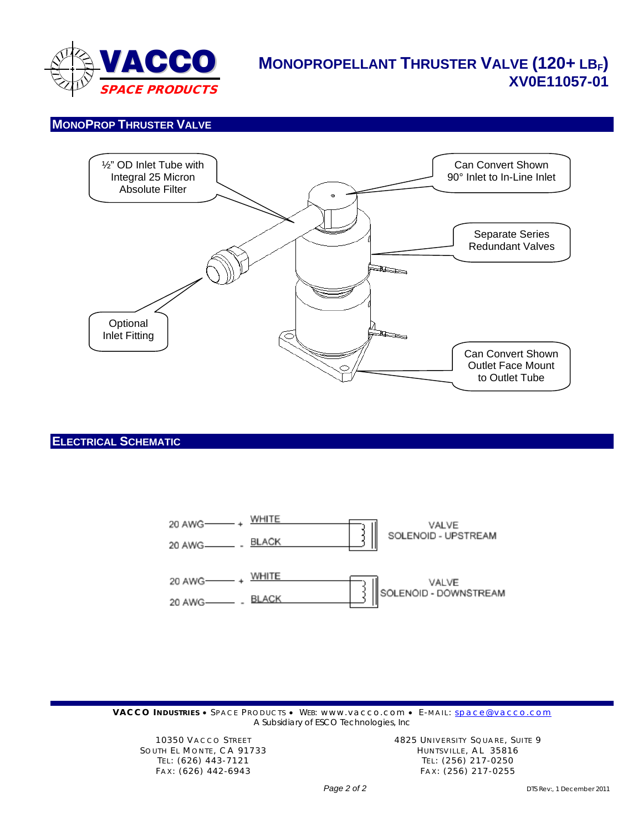

## **MONOPROPELLANT THRUSTER VALVE (120+ LBF) XV0E11057-01**

## **MONOPROP THRUSTER VALVE**



#### **ELECTRICAL SCHEMATIC**



**VACCO INDUSTRIES** • SPACE PRODUCTS • WEB: www.vacco.com • E-MAIL: **[space@vacco.com](mailto:space@vacco.com)** *A Subsidiary of ESCO Technologies, Inc*

SOUTH EL MONTE, CA 91733 HUNTSVILLE, AL 35816

10350 VACCO STREET 10350 VACCO STREET 10350 VACCO STREET TEL: (626) 443-7121 TEL: (256) 217-0250 FAX: (626) 442-6943 FAX: (256) 217-0255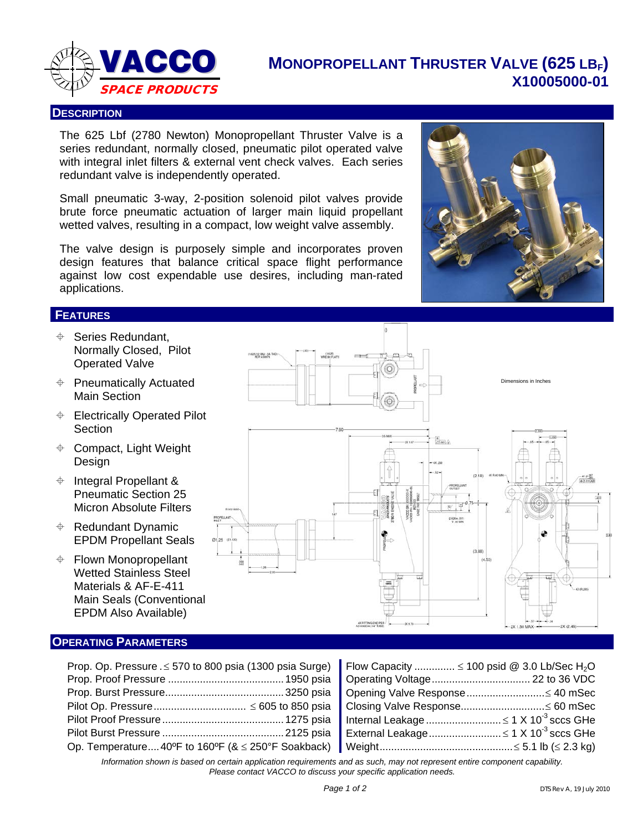

## **MONOPROPELLANT THRUSTER VALVE (625 LBF) X10005000-01**

#### **DESCRIPTION**

The 625 Lbf (2780 Newton) Monopropellant Thruster Valve is a series redundant, normally closed, pneumatic pilot operated valve with integral inlet filters & external vent check valves. Each series redundant valve is independently operated.

Small pneumatic 3-way, 2-position solenoid pilot valves provide brute force pneumatic actuation of larger main liquid propellant wetted valves, resulting in a compact, low weight valve assembly.

The valve design is purposely simple and incorporates proven design features that balance critical space flight performance against low cost expendable use desires, including man-rated applications.

### **FEATURES**

- $\triangleq$  Series Redundant, Normally Closed, Pilot Operated Valve
- $\triangleq$  Pneumatically Actuated Main Section
- **← Electrically Operated Pilot Section**
- $\triangleq$  Compact, Light Weight Design
- $\div$  Integral Propellant & Pneumatic Section 25 Micron Absolute Filters
- $\triangleq$  Redundant Dynamic EPDM Propellant Seals
- $\triangleq$  Flown Monopropellant Wetted Stainless Steel Materials & AF-E-411 Main Seals (Conventional EPDM Also Available)

#### **OPERATING PARAMETERS**

| Prop. Op. Pressure . $\leq$ 570 to 800 psia (1300 psia Surge) Flow Capacity $\leq$ 100 psid @ 3.0 Lb/Sec H <sub>2</sub> O |  |
|---------------------------------------------------------------------------------------------------------------------------|--|
|                                                                                                                           |  |
|                                                                                                                           |  |
|                                                                                                                           |  |
|                                                                                                                           |  |
|                                                                                                                           |  |
|                                                                                                                           |  |

<span id="page-4-0"></span>

| Flow Capacity $\leq$ 100 psid @ 3.0 Lb/Sec H <sub>2</sub> O |  |
|-------------------------------------------------------------|--|
|                                                             |  |
| Opening Valve Response ≤ 40 mSec                            |  |
| Closing Valve Response≤ 60 mSec                             |  |
|                                                             |  |
|                                                             |  |
|                                                             |  |
|                                                             |  |

*Information shown is based on certain application requirements and as such, may not represent entire component capability. Please contact VACCO to discuss your specific application needs.*



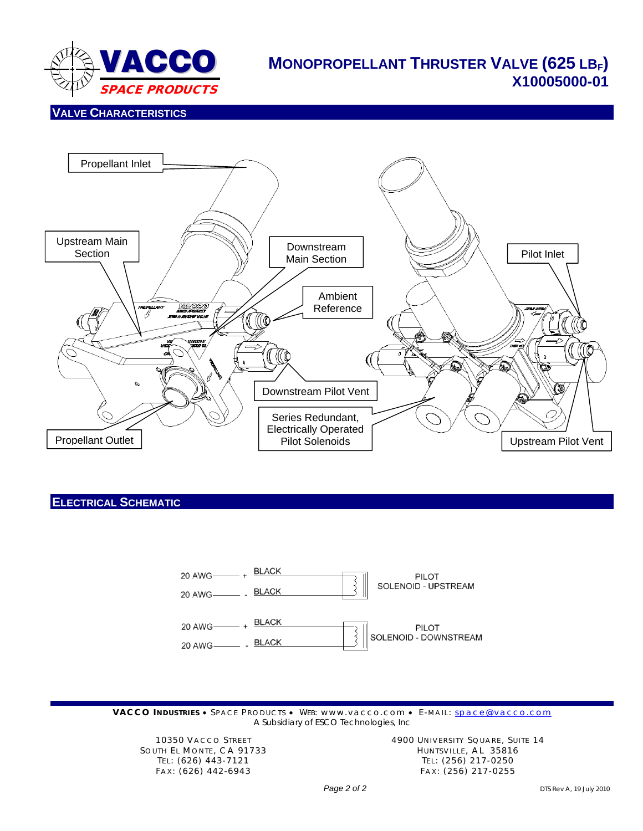

## **MONOPROPELLANT THRUSTER VALVE (625 LBF) X10005000-01**

#### **VALVE CHARACTERISTICS**



#### **ELECTRICAL SCHEMATIC**



VACCO **INDUSTRIES** • SPACE PRODUCTS • WEB: www.vacco.com • E-MAIL: [space@vacco.com](mailto:space@vacco.com) *A Subsidiary of ESCO Technologies, Inc*

SOUTH EL MONTE, CA 91733 HUNTSVILLE, AL 35816

10350 VACCO STREET **14900 UNIVERSITY SQUARE, SUITE 14** TEL: (626) 443-7121 TEL: (256) 217-0250 FAX: (626) 442-6943 FAX: (256) 217-0255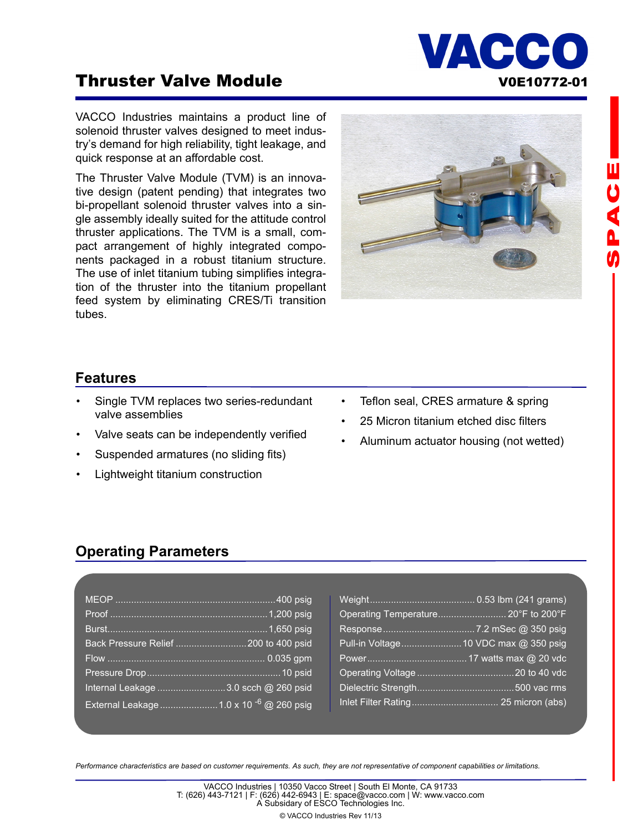# **Thruster Valve Module Communist Control Control Control Control Control Control Control Control Control Control Control Control Control Control Control Control Control Control Control Control Control Control Control Contr**

VACCO Industries maintains a product line of solenoid thruster valves designed to meet industry's demand for high reliability, tight leakage, and quick response at an affordable cost.

The Thruster Valve Module (TVM) is an innovative design (patent pending) that integrates two bi-propellant solenoid thruster valves into a single assembly ideally suited for the attitude control thruster applications. The TVM is a small, compact arrangement of highly integrated components packaged in a robust titanium structure. The use of inlet titanium tubing simplifies integration of the thruster into the titanium propellant feed system by eliminating CRES/Ti transition tubes.



## **Features**

- Single TVM replaces two series-redundant valve assemblies
- Valve seats can be independently verified
- Suspended armatures (no sliding fits)
- Lightweight titanium construction
- Teflon seal, CRES armature & spring
- 25 Micron titanium etched disc filters
- Aluminum actuator housing (not wetted)

## **Operating Parameters**

| Back Pressure Relief  200 to 400 psid               |  |
|-----------------------------------------------------|--|
|                                                     |  |
|                                                     |  |
| Internal Leakage 3.0 scch @ 260 psid                |  |
| External Leakage  1.0 x 10 <sup>-6</sup> @ 260 psig |  |

| Operating Temperature 20°F to 200°F |
|-------------------------------------|
|                                     |
|                                     |
|                                     |
|                                     |
|                                     |
|                                     |

*Performance characteristics are based on customer requirements. As such, they are not representative of component capabilities or limitations.*